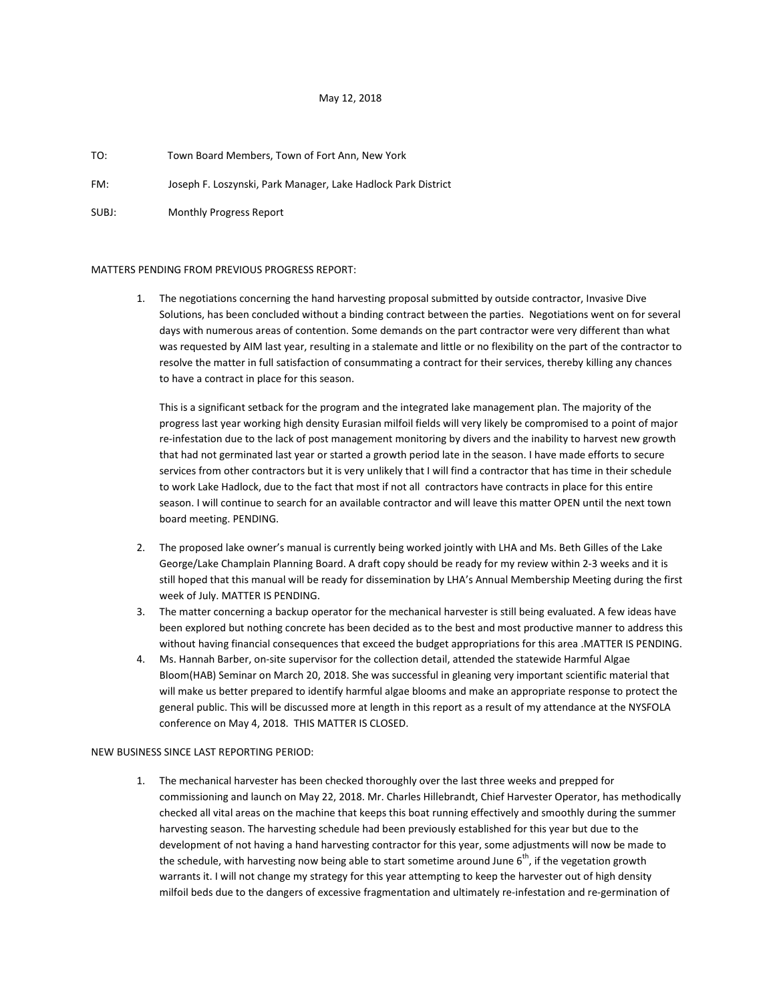# May 12, 2018

### TO: Town Board Members, Town of Fort Ann, New York

FM: Joseph F. Loszynski, Park Manager, Lake Hadlock Park District

SUBJ: Monthly Progress Report

### MATTERS PENDING FROM PREVIOUS PROGRESS REPORT:

1. The negotiations concerning the hand harvesting proposal submitted by outside contractor, Invasive Dive Solutions, has been concluded without a binding contract between the parties. Negotiations went on for several days with numerous areas of contention. Some demands on the part contractor were very different than what was requested by AIM last year, resulting in a stalemate and little or no flexibility on the part of the contractor to resolve the matter in full satisfaction of consummating a contract for their services, thereby killing any chances to have a contract in place for this season.

This is a significant setback for the program and the integrated lake management plan. The majority of the progress last year working high density Eurasian milfoil fields will very likely be compromised to a point of major re-infestation due to the lack of post management monitoring by divers and the inability to harvest new growth that had not germinated last year or started a growth period late in the season. I have made efforts to secure services from other contractors but it is very unlikely that I will find a contractor that has time in their schedule to work Lake Hadlock, due to the fact that most if not all contractors have contracts in place for this entire season. I will continue to search for an available contractor and will leave this matter OPEN until the next town board meeting. PENDING.

- 2. The proposed lake owner's manual is currently being worked jointly with LHA and Ms. Beth Gilles of the Lake George/Lake Champlain Planning Board. A draft copy should be ready for my review within 2-3 weeks and it is still hoped that this manual will be ready for dissemination by LHA's Annual Membership Meeting during the first week of July. MATTER IS PENDING.
- 3. The matter concerning a backup operator for the mechanical harvester is still being evaluated. A few ideas have been explored but nothing concrete has been decided as to the best and most productive manner to address this without having financial consequences that exceed the budget appropriations for this area .MATTER IS PENDING.
- 4. Ms. Hannah Barber, on-site supervisor for the collection detail, attended the statewide Harmful Algae Bloom(HAB) Seminar on March 20, 2018. She was successful in gleaning very important scientific material that will make us better prepared to identify harmful algae blooms and make an appropriate response to protect the general public. This will be discussed more at length in this report as a result of my attendance at the NYSFOLA conference on May 4, 2018. THIS MATTER IS CLOSED.

## NEW BUSINESS SINCE LAST REPORTING PERIOD:

1. The mechanical harvester has been checked thoroughly over the last three weeks and prepped for commissioning and launch on May 22, 2018. Mr. Charles Hillebrandt, Chief Harvester Operator, has methodically checked all vital areas on the machine that keeps this boat running effectively and smoothly during the summer harvesting season. The harvesting schedule had been previously established for this year but due to the development of not having a hand harvesting contractor for this year, some adjustments will now be made to the schedule, with harvesting now being able to start sometime around June  $6<sup>th</sup>$ , if the vegetation growth warrants it. I will not change my strategy for this year attempting to keep the harvester out of high density milfoil beds due to the dangers of excessive fragmentation and ultimately re-infestation and re-germination of